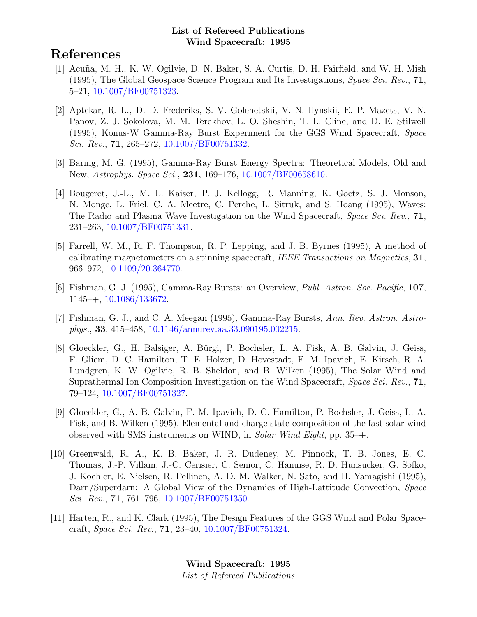# References

- [1] Acuña, M. H., K. W. Ogilvie, D. N. Baker, S. A. Curtis, D. H. Fairfield, and W. H. Mish (1995), The Global Geospace Science Program and Its Investigations, *Space Sci. Rev.*, **71**, 5–21, [10.1007/BF00751323.](http://dx.doi.org/10.1007/BF00751323)
- [2] Aptekar, R. L., D. D. Frederiks, S. V. Golenetskii, V. N. Ilynskii, E. P. Mazets, V. N. Panov, Z. J. Sokolova, M. M. Terekhov, L. O. Sheshin, T. L. Cline, and D. E. Stilwell (1995), Konus-W Gamma-Ray Burst Experiment for the GGS Wind Spacecraft, Space Sci. Rev., **71**, 265–272, [10.1007/BF00751332.](http://dx.doi.org/10.1007/BF00751332)
- [3] Baring, M. G. (1995), Gamma-Ray Burst Energy Spectra: Theoretical Models, Old and New, Astrophys. Space Sci., 231, 169-176, [10.1007/BF00658610.](http://dx.doi.org/10.1007/BF00658610)
- [4] Bougeret, J.-L., M. L. Kaiser, P. J. Kellogg, R. Manning, K. Goetz, S. J. Monson, N. Monge, L. Friel, C. A. Meetre, C. Perche, L. Sitruk, and S. Hoang (1995), Waves: The Radio and Plasma Wave Investigation on the Wind Spacecraft, Space Sci. Rev., 71, 231–263, [10.1007/BF00751331.](http://dx.doi.org/10.1007/BF00751331)
- [5] Farrell, W. M., R. F. Thompson, R. P. Lepping, and J. B. Byrnes (1995), A method of calibrating magnetometers on a spinning spacecraft, IEEE Transactions on Magnetics, 31, 966–972, [10.1109/20.364770.](http://dx.doi.org/10.1109/20.364770)
- [6] Fishman, G. J. (1995), Gamma-Ray Bursts: an Overview, Publ. Astron. Soc. Pacific, 107, 1145–+, [10.1086/133672.](http://dx.doi.org/10.1086/133672)
- [7] Fishman, G. J., and C. A. Meegan (1995), Gamma-Ray Bursts, Ann. Rev. Astron. Astrophys., 33, 415–458, [10.1146/annurev.aa.33.090195.002215.](http://dx.doi.org/10.1146/annurev.aa.33.090195.002215)
- [8] Gloeckler, G., H. Balsiger, A. Bürgi, P. Bochsler, L. A. Fisk, A. B. Galvin, J. Geiss, F. Gliem, D. C. Hamilton, T. E. Holzer, D. Hovestadt, F. M. Ipavich, E. Kirsch, R. A. Lundgren, K. W. Ogilvie, R. B. Sheldon, and B. Wilken (1995), The Solar Wind and Suprathermal Ion Composition Investigation on the Wind Spacecraft, Space Sci. Rev., 71, 79–124, [10.1007/BF00751327.](http://dx.doi.org/10.1007/BF00751327)
- [9] Gloeckler, G., A. B. Galvin, F. M. Ipavich, D. C. Hamilton, P. Bochsler, J. Geiss, L. A. Fisk, and B. Wilken (1995), Elemental and charge state composition of the fast solar wind observed with SMS instruments on WIND, in Solar Wind Eight, pp. 35–+.
- [10] Greenwald, R. A., K. B. Baker, J. R. Dudeney, M. Pinnock, T. B. Jones, E. C. Thomas, J.-P. Villain, J.-C. Cerisier, C. Senior, C. Hanuise, R. D. Hunsucker, G. Sofko, J. Koehler, E. Nielsen, R. Pellinen, A. D. M. Walker, N. Sato, and H. Yamagishi (1995), Darn/Superdarn: A Global View of the Dynamics of High-Lattitude Convection, Space Sci. Rev., 71, 761–796, [10.1007/BF00751350.](http://dx.doi.org/10.1007/BF00751350)
- [11] Harten, R., and K. Clark (1995), The Design Features of the GGS Wind and Polar Spacecraft, Space Sci. Rev., 71, 23–40, [10.1007/BF00751324.](http://dx.doi.org/10.1007/BF00751324)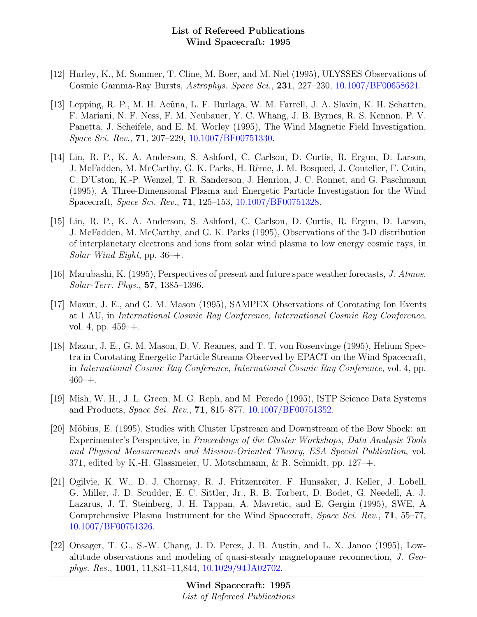- [12] Hurley, K., M. Sommer, T. Cline, M. Boer, and M. Niel (1995), ULYSSES Observations of Cosmic Gamma-Ray Bursts, Astrophys. Space Sci., 231, 227–230, [10.1007/BF00658621.](http://dx.doi.org/10.1007/BF00658621)
- [13] Lepping, R. P., M. H. Ac˜una, L. F. Burlaga, W. M. Farrell, J. A. Slavin, K. H. Schatten, F. Mariani, N. F. Ness, F. M. Neubauer, Y. C. Whang, J. B. Byrnes, R. S. Kennon, P. V. Panetta, J. Scheifele, and E. M. Worley (1995), The Wind Magnetic Field Investigation, Space Sci. Rev., 71, 207–229, [10.1007/BF00751330.](http://dx.doi.org/10.1007/BF00751330)
- [14] Lin, R. P., K. A. Anderson, S. Ashford, C. Carlson, D. Curtis, R. Ergun, D. Larson, J. McFadden, M. McCarthy, G. K. Parks, H. Rème, J. M. Bosqued, J. Coutelier, F. Cotin, C. D'Uston, K.-P. Wenzel, T. R. Sanderson, J. Henrion, J. C. Ronnet, and G. Paschmann (1995), A Three-Dimensional Plasma and Energetic Particle Investigation for the Wind Spacecraft, Space Sci. Rev., 71, 125–153, [10.1007/BF00751328.](http://dx.doi.org/10.1007/BF00751328)
- [15] Lin, R. P., K. A. Anderson, S. Ashford, C. Carlson, D. Curtis, R. Ergun, D. Larson, J. McFadden, M. McCarthy, and G. K. Parks (1995), Observations of the 3-D distribution of interplanetary electrons and ions from solar wind plasma to low energy cosmic rays, in Solar Wind Eight, pp.  $36$ –+.
- [16] Marubashi, K. (1995), Perspectives of present and future space weather forecasts, J. Atmos. Solar-Terr. Phys., 57, 1385–1396.
- [17] Mazur, J. E., and G. M. Mason (1995), SAMPEX Observations of Corotating Ion Events at 1 AU, in International Cosmic Ray Conference, International Cosmic Ray Conference, vol. 4, pp. 459–+.
- [18] Mazur, J. E., G. M. Mason, D. V. Reames, and T. T. von Rosenvinge (1995), Helium Spectra in Corotating Energetic Particle Streams Observed by EPACT on the Wind Spacecraft, in International Cosmic Ray Conference, International Cosmic Ray Conference, vol. 4, pp.  $460 - +$ .
- [19] Mish, W. H., J. L. Green, M. G. Reph, and M. Peredo (1995), ISTP Science Data Systems and Products, Space Sci. Rev., 71, 815–877, [10.1007/BF00751352.](http://dx.doi.org/10.1007/BF00751352)
- [20] Möbius, E. (1995), Studies with Cluster Upstream and Downstream of the Bow Shock: an Experimenter's Perspective, in Proceedings of the Cluster Workshops, Data Analysis Tools and Physical Measurements and Mission-Oriented Theory, ESA Special Publication, vol. 371, edited by K.-H. Glassmeier, U. Motschmann, & R. Schmidt, pp. 127–+.
- [21] Ogilvie, K. W., D. J. Chornay, R. J. Fritzenreiter, F. Hunsaker, J. Keller, J. Lobell, G. Miller, J. D. Scudder, E. C. Sittler, Jr., R. B. Torbert, D. Bodet, G. Needell, A. J. Lazarus, J. T. Steinberg, J. H. Tappan, A. Mavretic, and E. Gergin (1995), SWE, A Comprehensive Plasma Instrument for the Wind Spacecraft, Space Sci. Rev., 71, 55–77, [10.1007/BF00751326.](http://dx.doi.org/10.1007/BF00751326)
- [22] Onsager, T. G., S.-W. Chang, J. D. Perez, J. B. Austin, and L. X. Janoo (1995), Lowaltitude observations and modeling of quasi-steady magnetopause reconnection, J. Geophys. Res., 1001, 11,831–11,844, [10.1029/94JA02702.](http://dx.doi.org/10.1029/94JA02702)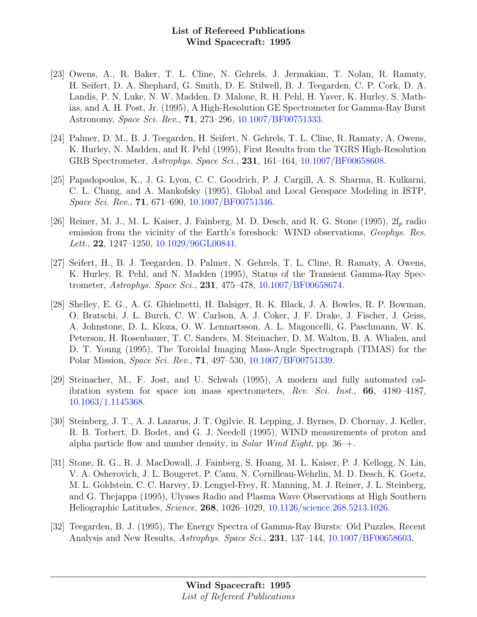- [23] Owens, A., R. Baker, T. L. Cline, N. Gehrels, J. Jermakian, T. Nolan, R. Ramaty, H. Seifert, D. A. Shephard, G. Smith, D. E. Stilwell, B. J. Teegarden, C. P. Cork, D. A. Landis, P. N. Luke, N. W. Madden, D. Malone, R. H. Pehl, H. Yaver, K. Hurley, S. Mathias, and A. H. Post, Jr. (1995), A High-Resolution GE Spectrometer for Gamma-Ray Burst Astronomy, Space Sci. Rev., 71, 273–296, [10.1007/BF00751333.](http://dx.doi.org/10.1007/BF00751333)
- [24] Palmer, D. M., B. J. Teegarden, H. Seifert, N. Gehrels, T. L. Cline, R. Ramaty, A. Owens, K. Hurley, N. Madden, and R. Pehl (1995), First Results from the TGRS High-Resolution GRB Spectrometer, Astrophys. Space Sci., 231, 161–164, [10.1007/BF00658608.](http://dx.doi.org/10.1007/BF00658608)
- [25] Papadopoulos, K., J. G. Lyon, C. C. Goodrich, P. J. Cargill, A. S. Sharma, R. Kulkarni, C. L. Chang, and A. Mankofsky (1995), Global and Local Geospace Modeling in ISTP, Space Sci. Rev., 71, 671–690, [10.1007/BF00751346.](http://dx.doi.org/10.1007/BF00751346)
- [26] Reiner, M. J., M. L. Kaiser, J. Fainberg, M. D. Desch, and R. G. Stone (1995),  $2f_p$  radio emission from the vicinity of the Earth's foreshock: WIND observations, *Geophys. Res.* Lett., 22, 1247–1250, [10.1029/96GL00841.](http://dx.doi.org/10.1029/96GL00841)
- [27] Seifert, H., B. J. Teegarden, D. Palmer, N. Gehrels, T. L. Cline, R. Ramaty, A. Owens, K. Hurley, R. Pehl, and N. Madden (1995), Status of the Transient Gamma-Ray Spectrometer, Astrophys. Space Sci., 231, 475–478, [10.1007/BF00658674.](http://dx.doi.org/10.1007/BF00658674)
- [28] Shelley, E. G., A. G. Ghielmetti, H. Balsiger, R. K. Black, J. A. Bowles, R. P. Bowman, O. Bratschi, J. L. Burch, C. W. Carlson, A. J. Coker, J. F. Drake, J. Fischer, J. Geiss, A. Johnstone, D. L. Kloza, O. W. Lennartsson, A. L. Magoncelli, G. Paschmann, W. K. Peterson, H. Rosenbauer, T. C. Sanders, M. Steinacher, D. M. Walton, B. A. Whalen, and D. T. Young (1995), The Toroidal Imaging Mass-Angle Spectrograph (TIMAS) for the Polar Mission, Space Sci. Rev., 71, 497–530, [10.1007/BF00751339.](http://dx.doi.org/10.1007/BF00751339)
- [29] Steinacher, M., F. Jost, and U. Schwab (1995), A modern and fully automated calibration system for space ion mass spectrometers, Rev. Sci. Inst., 66, 4180–4187, [10.1063/1.1145368.](http://dx.doi.org/10.1063/1.1145368)
- [30] Steinberg, J. T., A. J. Lazarus, J. T. Ogilvie, R. Lepping, J. Byrnes, D. Chornay, J. Keller, R. B. Torbert, D. Bodet, and G. J. Needell (1995), WIND measurements of proton and alpha particle flow and number density, in *Solar Wind Eight*, pp.  $36$ –+.
- [31] Stone, R. G., R. J. MacDowall, J. Fainberg, S. Hoang, M. L. Kaiser, P. J. Kellogg, N. Lin, V. A. Osherovich, J. L. Bougeret, P. Canu, N. Cornilleau-Wehrlin, M. D. Desch, K. Goetz, M. L. Goldstein, C. C. Harvey, D. Lengyel-Frey, R. Manning, M. J. Reiner, J. L. Steinberg, and G. Thejappa (1995), Ulysses Radio and Plasma Wave Observations at High Southern Heliographic Latitudes, Science, 268, 1026–1029, [10.1126/science.268.5213.1026.](http://dx.doi.org/10.1126/science.268.5213.1026)
- [32] Teegarden, B. J. (1995), The Energy Spectra of Gamma-Ray Bursts: Old Puzzles, Recent Analysis and New Results, *Astrophys. Space Sci.*, **231**, 137–144, [10.1007/BF00658603.](http://dx.doi.org/10.1007/BF00658603)